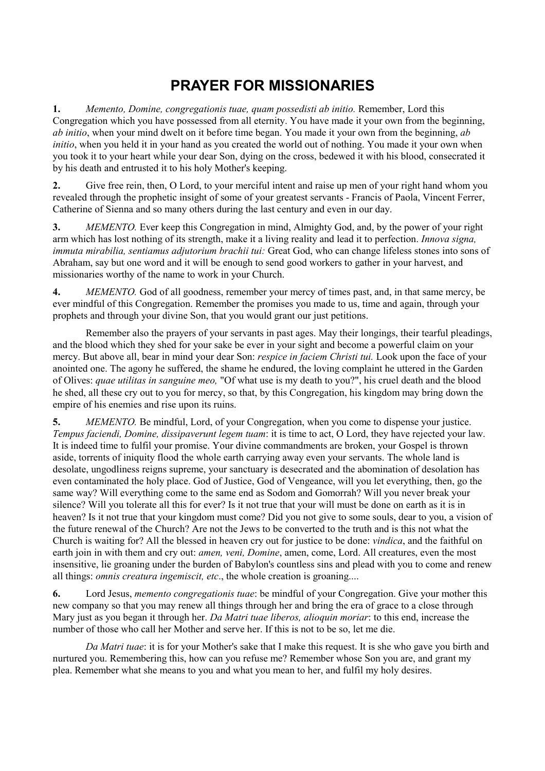## **PRAYER FOR MISSIONARIES**

**1.** *Memento, Domine, congregationis tuae, quam possedisti ab initio.* Remember, Lord this Congregation which you have possessed from all eternity. You have made it your own from the beginning, *ab initio*, when your mind dwelt on it before time began. You made it your own from the beginning, *ab initio*, when you held it in your hand as you created the world out of nothing. You made it your own when you took it to your heart while your dear Son, dying on the cross, bedewed it with his blood, consecrated it by his death and entrusted it to his holy Mother's keeping.

**2.** Give free rein, then, O Lord, to your merciful intent and raise up men of your right hand whom you revealed through the prophetic insight of some of your greatest servants - Francis of Paola, Vincent Ferrer, Catherine of Sienna and so many others during the last century and even in our day.

**3.** *MEMENTO.* Ever keep this Congregation in mind, Almighty God, and, by the power of your right arm which has lost nothing of its strength, make it a living reality and lead it to perfection. *Innova signa, immuta mirabilia, sentiamus adjutorium brachii tui:* Great God, who can change lifeless stones into sons of Abraham, say but one word and it will be enough to send good workers to gather in your harvest, and missionaries worthy of the name to work in your Church.

**4.** *MEMENTO.* God of all goodness, remember your mercy of times past, and, in that same mercy, be ever mindful of this Congregation. Remember the promises you made to us, time and again, through your prophets and through your divine Son, that you would grant our just petitions.

 Remember also the prayers of your servants in past ages. May their longings, their tearful pleadings, and the blood which they shed for your sake be ever in your sight and become a powerful claim on your mercy. But above all, bear in mind your dear Son: *respice in faciem Christi tui.* Look upon the face of your anointed one. The agony he suffered, the shame he endured, the loving complaint he uttered in the Garden of Olives: *quae utilitas in sanguine meo,* "Of what use is my death to you?", his cruel death and the blood he shed, all these cry out to you for mercy, so that, by this Congregation, his kingdom may bring down the empire of his enemies and rise upon its ruins.

**5.** *MEMENTO.* Be mindful, Lord, of your Congregation, when you come to dispense your justice. *Tempus faciendi, Domine, dissipaverunt legem tuam*: it is time to act, O Lord, they have rejected your law. It is indeed time to fulfil your promise. Your divine commandments are broken, your Gospel is thrown aside, torrents of iniquity flood the whole earth carrying away even your servants. The whole land is desolate, ungodliness reigns supreme, your sanctuary is desecrated and the abomination of desolation has even contaminated the holy place. God of Justice, God of Vengeance, will you let everything, then, go the same way? Will everything come to the same end as Sodom and Gomorrah? Will you never break your silence? Will you tolerate all this for ever? Is it not true that your will must be done on earth as it is in heaven? Is it not true that your kingdom must come? Did you not give to some souls, dear to you, a vision of the future renewal of the Church? Are not the Jews to be converted to the truth and is this not what the Church is waiting for? All the blessed in heaven cry out for justice to be done: *vindica*, and the faithful on earth join in with them and cry out: *amen, veni, Domine*, amen, come, Lord. All creatures, even the most insensitive, lie groaning under the burden of Babylon's countless sins and plead with you to come and renew all things: *omnis creatura ingemiscit, etc*., the whole creation is groaning....

**6.** Lord Jesus, *memento congregationis tuae*: be mindful of your Congregation. Give your mother this new company so that you may renew all things through her and bring the era of grace to a close through Mary just as you began it through her. *Da Matri tuae liberos, alioquin moriar*: to this end, increase the number of those who call her Mother and serve her. If this is not to be so, let me die.

*Da Matri tuae*: it is for your Mother's sake that I make this request. It is she who gave you birth and nurtured you. Remembering this, how can you refuse me? Remember whose Son you are, and grant my plea. Remember what she means to you and what you mean to her, and fulfil my holy desires.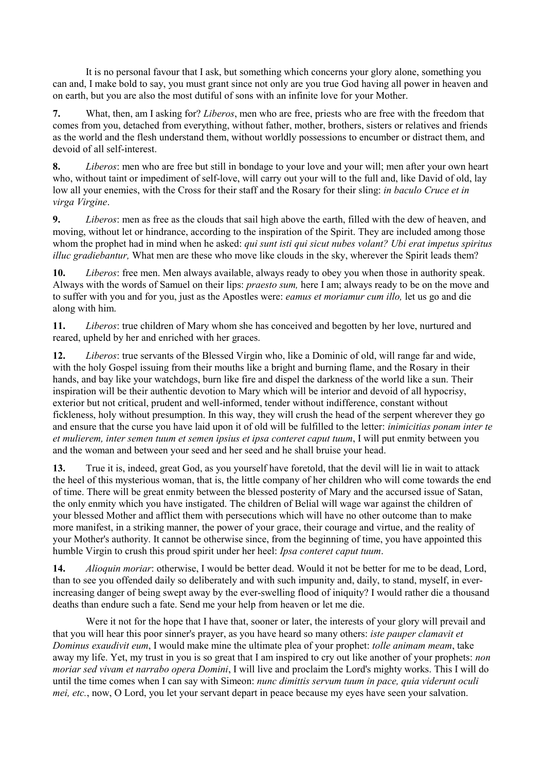It is no personal favour that I ask, but something which concerns your glory alone, something you can and, I make bold to say, you must grant since not only are you true God having all power in heaven and on earth, but you are also the most dutiful of sons with an infinite love for your Mother.

**7.** What, then, am I asking for? *Liberos*, men who are free, priests who are free with the freedom that comes from you, detached from everything, without father, mother, brothers, sisters or relatives and friends as the world and the flesh understand them, without worldly possessions to encumber or distract them, and devoid of all self-interest.

**8.** *Liberos*: men who are free but still in bondage to your love and your will; men after your own heart who, without taint or impediment of self-love, will carry out your will to the full and, like David of old, lay low all your enemies, with the Cross for their staff and the Rosary for their sling: *in baculo Cruce et in virga Virgine*.

**9.** *Liberos*: men as free as the clouds that sail high above the earth, filled with the dew of heaven, and moving, without let or hindrance, according to the inspiration of the Spirit. They are included among those whom the prophet had in mind when he asked: *qui sunt isti qui sicut nubes volant? Ubi erat impetus spiritus illuc gradiebantur*, What men are these who move like clouds in the sky, wherever the Spirit leads them?

**10.** *Liberos*: free men. Men always available, always ready to obey you when those in authority speak. Always with the words of Samuel on their lips: *praesto sum,* here I am; always ready to be on the move and to suffer with you and for you, just as the Apostles were: *eamus et moriamur cum illo,* let us go and die along with him.

**11.** *Liberos*: true children of Mary whom she has conceived and begotten by her love, nurtured and reared, upheld by her and enriched with her graces.

**12.** *Liberos*: true servants of the Blessed Virgin who, like a Dominic of old, will range far and wide, with the holy Gospel issuing from their mouths like a bright and burning flame, and the Rosary in their hands, and bay like your watchdogs, burn like fire and dispel the darkness of the world like a sun. Their inspiration will be their authentic devotion to Mary which will be interior and devoid of all hypocrisy, exterior but not critical, prudent and well-informed, tender without indifference, constant without fickleness, holy without presumption. In this way, they will crush the head of the serpent wherever they go and ensure that the curse you have laid upon it of old will be fulfilled to the letter: *inimicitias ponam inter te et mulierem, inter semen tuum et semen ipsius et ipsa conteret caput tuum*, I will put enmity between you and the woman and between your seed and her seed and he shall bruise your head.

**13.** True it is, indeed, great God, as you yourself have foretold, that the devil will lie in wait to attack the heel of this mysterious woman, that is, the little company of her children who will come towards the end of time. There will be great enmity between the blessed posterity of Mary and the accursed issue of Satan, the only enmity which you have instigated. The children of Belial will wage war against the children of your blessed Mother and afflict them with persecutions which will have no other outcome than to make more manifest, in a striking manner, the power of your grace, their courage and virtue, and the reality of your Mother's authority. It cannot be otherwise since, from the beginning of time, you have appointed this humble Virgin to crush this proud spirit under her heel: *Ipsa conteret caput tuum*.

**14.** *Alioquin moriar*: otherwise, I would be better dead. Would it not be better for me to be dead, Lord, than to see you offended daily so deliberately and with such impunity and, daily, to stand, myself, in everincreasing danger of being swept away by the ever-swelling flood of iniquity? I would rather die a thousand deaths than endure such a fate. Send me your help from heaven or let me die.

Were it not for the hope that I have that, sooner or later, the interests of your glory will prevail and that you will hear this poor sinner's prayer, as you have heard so many others: *iste pauper clamavit et Dominus exaudivit eum*, I would make mine the ultimate plea of your prophet: *tolle animam meam*, take away my life. Yet, my trust in you is so great that I am inspired to cry out like another of your prophets: *non moriar sed vivam et narrabo opera Domini*, I will live and proclaim the Lord's mighty works. This I will do until the time comes when I can say with Simeon: *nunc dimittis servum tuum in pace, quia viderunt oculi mei, etc.*, now, O Lord, you let your servant depart in peace because my eyes have seen your salvation.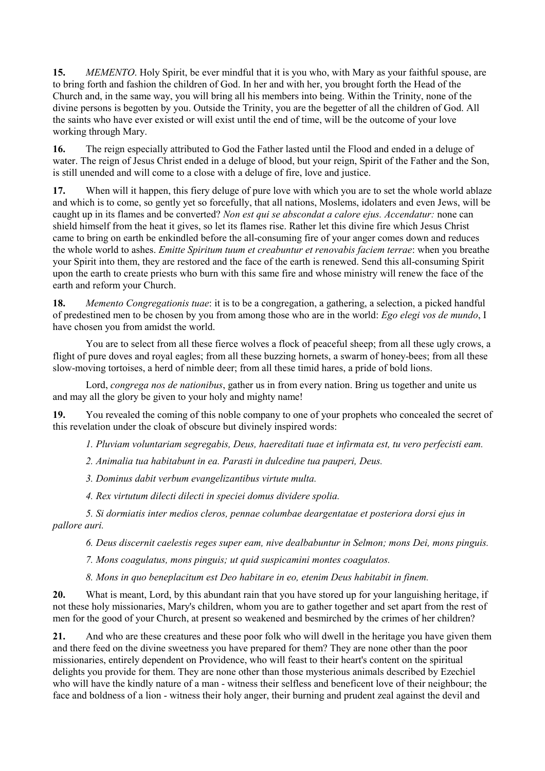**15.** *MEMENTO*. Holy Spirit, be ever mindful that it is you who, with Mary as your faithful spouse, are to bring forth and fashion the children of God. In her and with her, you brought forth the Head of the Church and, in the same way, you will bring all his members into being. Within the Trinity, none of the divine persons is begotten by you. Outside the Trinity, you are the begetter of all the children of God. All the saints who have ever existed or will exist until the end of time, will be the outcome of your love working through Mary.

**16.** The reign especially attributed to God the Father lasted until the Flood and ended in a deluge of water. The reign of Jesus Christ ended in a deluge of blood, but your reign, Spirit of the Father and the Son, is still unended and will come to a close with a deluge of fire, love and justice.

**17.** When will it happen, this fiery deluge of pure love with which you are to set the whole world ablaze and which is to come, so gently yet so forcefully, that all nations, Moslems, idolaters and even Jews, will be caught up in its flames and be converted? *Non est qui se abscondat a calore ejus. Accendatur:* none can shield himself from the heat it gives, so let its flames rise. Rather let this divine fire which Jesus Christ came to bring on earth be enkindled before the all-consuming fire of your anger comes down and reduces the whole world to ashes. *Emitte Spiritum tuum et creabuntur et renovabis faciem terrae*: when you breathe your Spirit into them, they are restored and the face of the earth is renewed. Send this all-consuming Spirit upon the earth to create priests who burn with this same fire and whose ministry will renew the face of the earth and reform your Church.

**18.** *Memento Congregationis tuae*: it is to be a congregation, a gathering, a selection, a picked handful of predestined men to be chosen by you from among those who are in the world: *Ego elegi vos de mundo*, I have chosen you from amidst the world.

 You are to select from all these fierce wolves a flock of peaceful sheep; from all these ugly crows, a flight of pure doves and royal eagles; from all these buzzing hornets, a swarm of honey-bees; from all these slow-moving tortoises, a herd of nimble deer; from all these timid hares, a pride of bold lions.

 Lord, *congrega nos de nationibus*, gather us in from every nation. Bring us together and unite us and may all the glory be given to your holy and mighty name!

**19.** You revealed the coming of this noble company to one of your prophets who concealed the secret of this revelation under the cloak of obscure but divinely inspired words:

*1. Pluviam voluntariam segregabis, Deus, haereditati tuae et infirmata est, tu vero perfecisti eam.* 

 *2. Animalia tua habitabunt in ea. Parasti in dulcedine tua pauperi, Deus.* 

 *3. Dominus dabit verbum evangelizantibus virtute multa.* 

 *4. Rex virtutum dilecti dilecti in speciei domus dividere spolia.* 

 *5. Si dormiatis inter medios cleros, pennae columbae deargentatae et posteriora dorsi ejus in pallore auri.* 

 *6. Deus discernit caelestis reges super eam, nive dealbabuntur in Selmon; mons Dei, mons pinguis.* 

 *7. Mons coagulatus, mons pinguis; ut quid suspicamini montes coagulatos.* 

 *8. Mons in quo beneplacitum est Deo habitare in eo, etenim Deus habitabit in finem.*

**20.** What is meant, Lord, by this abundant rain that you have stored up for your languishing heritage, if not these holy missionaries, Mary's children, whom you are to gather together and set apart from the rest of men for the good of your Church, at present so weakened and besmirched by the crimes of her children?

**21.** And who are these creatures and these poor folk who will dwell in the heritage you have given them and there feed on the divine sweetness you have prepared for them? They are none other than the poor missionaries, entirely dependent on Providence, who will feast to their heart's content on the spiritual delights you provide for them. They are none other than those mysterious animals described by Ezechiel who will have the kindly nature of a man - witness their selfless and beneficent love of their neighbour; the face and boldness of a lion - witness their holy anger, their burning and prudent zeal against the devil and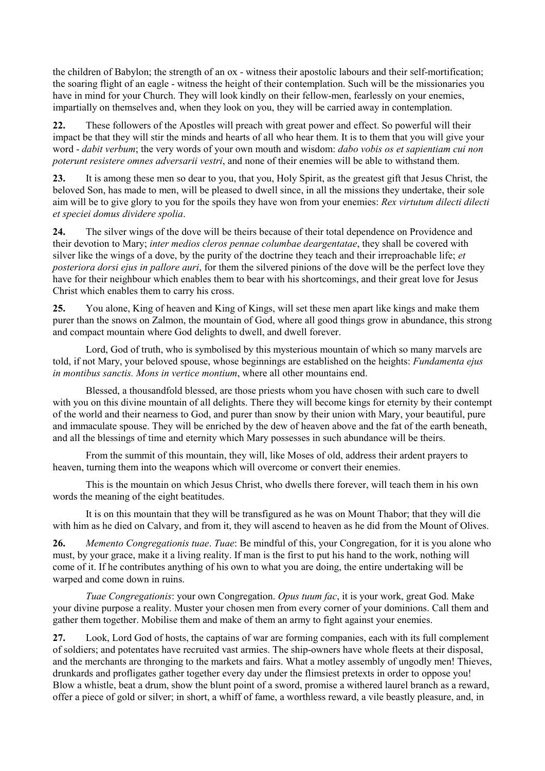the children of Babylon; the strength of an ox - witness their apostolic labours and their self-mortification; the soaring flight of an eagle - witness the height of their contemplation. Such will be the missionaries you have in mind for your Church. They will look kindly on their fellow-men, fearlessly on your enemies, impartially on themselves and, when they look on you, they will be carried away in contemplation.

**22.** These followers of the Apostles will preach with great power and effect. So powerful will their impact be that they will stir the minds and hearts of all who hear them. It is to them that you will give your word - *dabit verbum*; the very words of your own mouth and wisdom: *dabo vobis os et sapientiam cui non poterunt resistere omnes adversarii vestri*, and none of their enemies will be able to withstand them.

**23.** It is among these men so dear to you, that you, Holy Spirit, as the greatest gift that Jesus Christ, the beloved Son, has made to men, will be pleased to dwell since, in all the missions they undertake, their sole aim will be to give glory to you for the spoils they have won from your enemies: *Rex virtutum dilecti dilecti et speciei domus dividere spolia*.

**24.** The silver wings of the dove will be theirs because of their total dependence on Providence and their devotion to Mary; *inter medios cleros pennae columbae deargentatae*, they shall be covered with silver like the wings of a dove, by the purity of the doctrine they teach and their irreproachable life; *et posteriora dorsi ejus in pallore auri*, for them the silvered pinions of the dove will be the perfect love they have for their neighbour which enables them to bear with his shortcomings, and their great love for Jesus Christ which enables them to carry his cross.

**25.** You alone, King of heaven and King of Kings, will set these men apart like kings and make them purer than the snows on Zalmon, the mountain of God, where all good things grow in abundance, this strong and compact mountain where God delights to dwell, and dwell forever.

 Lord, God of truth, who is symbolised by this mysterious mountain of which so many marvels are told, if not Mary, your beloved spouse, whose beginnings are established on the heights: *Fundamenta ejus in montibus sanctis. Mons in vertice montium*, where all other mountains end.

 Blessed, a thousandfold blessed, are those priests whom you have chosen with such care to dwell with you on this divine mountain of all delights. There they will become kings for eternity by their contempt of the world and their nearness to God, and purer than snow by their union with Mary, your beautiful, pure and immaculate spouse. They will be enriched by the dew of heaven above and the fat of the earth beneath, and all the blessings of time and eternity which Mary possesses in such abundance will be theirs.

 From the summit of this mountain, they will, like Moses of old, address their ardent prayers to heaven, turning them into the weapons which will overcome or convert their enemies.

 This is the mountain on which Jesus Christ, who dwells there forever, will teach them in his own words the meaning of the eight beatitudes.

 It is on this mountain that they will be transfigured as he was on Mount Thabor; that they will die with him as he died on Calvary, and from it, they will ascend to heaven as he did from the Mount of Olives.

**26.** *Memento Congregationis tuae*. *Tuae*: Be mindful of this, your Congregation, for it is you alone who must, by your grace, make it a living reality. If man is the first to put his hand to the work, nothing will come of it. If he contributes anything of his own to what you are doing, the entire undertaking will be warped and come down in ruins.

*Tuae Congregationis*: your own Congregation. *Opus tuum fac*, it is your work, great God. Make your divine purpose a reality. Muster your chosen men from every corner of your dominions. Call them and gather them together. Mobilise them and make of them an army to fight against your enemies.

**27.** Look, Lord God of hosts, the captains of war are forming companies, each with its full complement of soldiers; and potentates have recruited vast armies. The ship-owners have whole fleets at their disposal, and the merchants are thronging to the markets and fairs. What a motley assembly of ungodly men! Thieves, drunkards and profligates gather together every day under the flimsiest pretexts in order to oppose you! Blow a whistle, beat a drum, show the blunt point of a sword, promise a withered laurel branch as a reward, offer a piece of gold or silver; in short, a whiff of fame, a worthless reward, a vile beastly pleasure, and, in